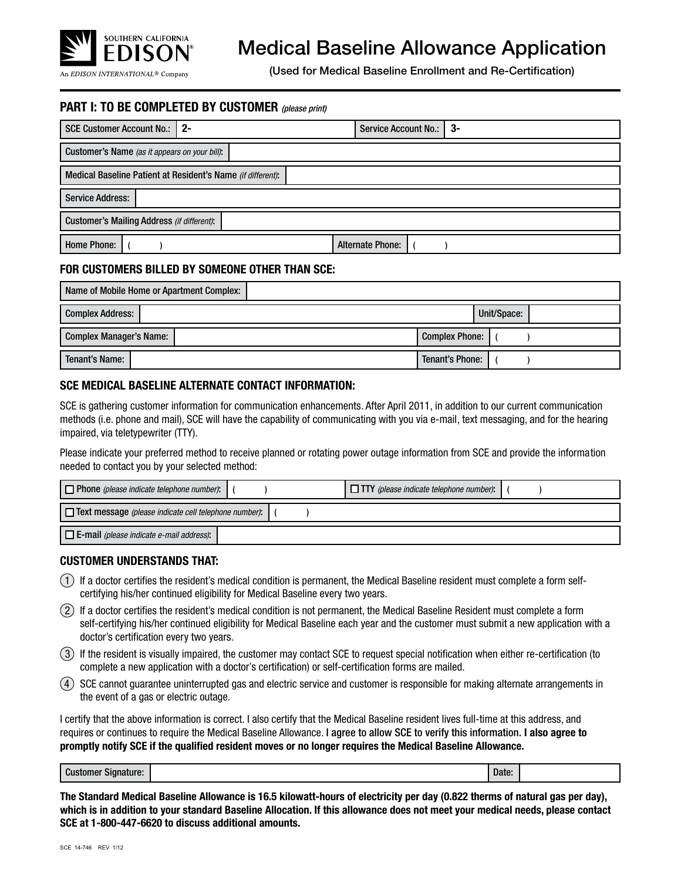

# Medical Baseline Allowance Application

(Used for Medical Baseline Enrollment and Re-Certification)

# **PART I: TO BE COMPLETED BY CUSTOMER** *(please print)*

| SCE Customer Account No.:   2-                    |                                                             | <b>Service Account No.:</b> | $3-$ |  |  |  |  |
|---------------------------------------------------|-------------------------------------------------------------|-----------------------------|------|--|--|--|--|
| Customer's Name (as it appears on your bill):     |                                                             |                             |      |  |  |  |  |
|                                                   | Medical Baseline Patient at Resident's Name (if different): |                             |      |  |  |  |  |
| <b>Service Address:</b>                           |                                                             |                             |      |  |  |  |  |
| <b>Customer's Mailing Address (if different):</b> |                                                             |                             |      |  |  |  |  |
| <b>Home Phone:</b>                                |                                                             | <b>Alternate Phone:</b>     |      |  |  |  |  |

#### **FOR CUSTOMERS BILLED BY SOMEONE OTHER THAN SCE:**

| Name of Mobile Home or Apartment Complex:               |                 |  |  |  |  |  |
|---------------------------------------------------------|-----------------|--|--|--|--|--|
| <b>Complex Address:</b><br>Unit/Space:                  |                 |  |  |  |  |  |
| <b>Complex Manager's Name:</b><br><b>Complex Phone:</b> |                 |  |  |  |  |  |
| Tenant's Name:                                          | Tenant's Phone: |  |  |  |  |  |

### **SCE MEDICAL BASELINE ALTERNATE CONTACT INFORMATION:**

SCE is gathering customer information for communication enhancements. After April 2011, in addition to our current communication methods (i.e. phone and mail), SCE will have the capability of communicating with you via e-mail, text messaging, and for the hearing impaired, via teletypewriter (TTY).

Please indicate your preferred method to receive planned or rotating power outage information from SCE and provide the information needed to contact you by your selected method:

| $\Box$ Phone (please indicate telephone number):             |  |  |  | $\Box$ TTY (please indicate telephone number): |  |  |
|--------------------------------------------------------------|--|--|--|------------------------------------------------|--|--|
| $\Box$ Text message (please indicate cell telephone number): |  |  |  |                                                |  |  |
| $\Box$ E-mail (please indicate e-mail address):              |  |  |  |                                                |  |  |

#### **CUSTOMER UNDERSTANDS THAT:**

- 1 If a doctor certifies the resident's medical condition is permanent, the Medical Baseline resident must complete a form selfcertifying his/her continued eligibility for Medical Baseline every two years.
- 2 If a doctor certifies the resident's medical condition is not permanent, the Medical Baseline Resident must complete a form self-certifying his/her continued eligibility for Medical Baseline each year and the customer must submit a new application with a doctor's certification every two years.
- 3 If the resident is visually impaired, the customer may contact SCE to request special notification when either re-certification (to complete a new application with a doctor's certification) or self-certification forms are mailed.
- 4 SCE cannot guarantee uninterrupted gas and electric service and customer is responsible for making alternate arrangements in the event of a gas or electric outage.

I certify that the above information is correct. I also certify that the Medical Baseline resident lives full-time at this address, and requires or continues to require the Medical Baseline Allowance. I agree to allow SCE to verify this information. **I also agree to promptly notify SCE if the qualified resident moves or no longer requires the Medical Baseline Allowance.** 

| $\sim$<br>Signature:<br>Customer | Date: |  |
|----------------------------------|-------|--|
|----------------------------------|-------|--|

**The Standard Medical Baseline Allowance is 16.5 kilowatt-hours of electricity per day (0.822 therms of natural gas per day), which is in addition to your standard Baseline Allocation. If this allowance does not meet your medical needs, please contact SCE at 1-800-447-6620 to discuss additional amounts.**